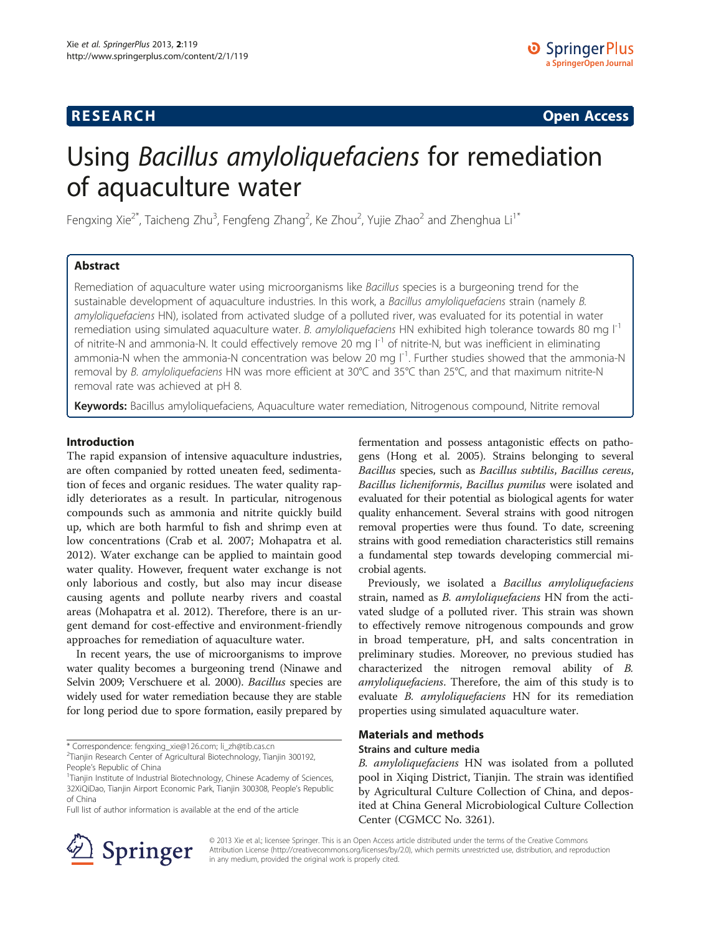## **RESEARCH RESEARCH CONSUMING ACCESS**

# Using Bacillus amyloliquefaciens for remediation of aquaculture water

Fengxing Xie $^{2^*}$ , Taicheng Zhu $^3$ , Fengfeng Zhang $^2$ , Ke Zhou $^2$ , Yujie Zhao $^2$  and Zhenghua Li $^{\uparrow *}$ 

## Abstract

Remediation of aquaculture water using microorganisms like Bacillus species is a burgeoning trend for the sustainable development of aquaculture industries. In this work, a Bacillus amyloliquefaciens strain (namely B. amyloliquefaciens HN), isolated from activated sludge of a polluted river, was evaluated for its potential in water remediation using simulated aquaculture water. B. amyloliquefaciens HN exhibited high tolerance towards 80 mg  $I^{-1}$ of nitrite-N and ammonia-N. It could effectively remove 20 mg  $I<sup>-1</sup>$  of nitrite-N, but was inefficient in eliminating ammonia-N when the ammonia-N concentration was below 20 mg  $\lceil \cdot \rceil$ . Further studies showed that the ammonia-N removal by B. amyloliquefaciens HN was more efficient at 30°C and 35°C than 25°C, and that maximum nitrite-N removal rate was achieved at pH 8.

Keywords: Bacillus amyloliquefaciens, Aquaculture water remediation, Nitrogenous compound, Nitrite removal

### Introduction

The rapid expansion of intensive aquaculture industries, are often companied by rotted uneaten feed, sedimentation of feces and organic residues. The water quality rapidly deteriorates as a result. In particular, nitrogenous compounds such as ammonia and nitrite quickly build up, which are both harmful to fish and shrimp even at low concentrations (Crab et al. [2007](#page-4-0); Mohapatra et al. [2012](#page-4-0)). Water exchange can be applied to maintain good water quality. However, frequent water exchange is not only laborious and costly, but also may incur disease causing agents and pollute nearby rivers and coastal areas (Mohapatra et al. [2012\)](#page-4-0). Therefore, there is an urgent demand for cost-effective and environment-friendly approaches for remediation of aquaculture water.

In recent years, the use of microorganisms to improve water quality becomes a burgeoning trend (Ninawe and Selvin [2009;](#page-4-0) Verschuere et al. [2000\)](#page-4-0). Bacillus species are widely used for water remediation because they are stable for long period due to spore formation, easily prepared by



Previously, we isolated a Bacillus amyloliquefaciens strain, named as *B. amyloliquefaciens* HN from the activated sludge of a polluted river. This strain was shown to effectively remove nitrogenous compounds and grow in broad temperature, pH, and salts concentration in preliminary studies. Moreover, no previous studied has characterized the nitrogen removal ability of B. amyloliquefaciens. Therefore, the aim of this study is to evaluate *B. amyloliquefaciens* HN for its remediation properties using simulated aquaculture water.

## Materials and methods Strains and culture media

B. amyloliquefaciens HN was isolated from a polluted pool in Xiqing District, Tianjin. The strain was identified by Agricultural Culture Collection of China, and deposited at China General Microbiological Culture Collection Center (CGMCC No. 3261).



© 2013 Xie et al.; licensee Springer. This is an Open Access article distributed under the terms of the Creative Commons Attribution License [\(http://creativecommons.org/licenses/by/2.0\)](http://creativecommons.org/licenses/by/2.0), which permits unrestricted use, distribution, and reproduction in any medium, provided the original work is properly cited.

<sup>\*</sup> Correspondence: [fengxing\\_xie@126.com;](mailto:fengxing_xie@126.com) [li\\_zh@tib.cas.cn](mailto:li_zh@tib.cas.cn) <sup>2</sup>

Tianjin Research Center of Agricultural Biotechnology, Tianjin 300192, People's Republic of China

<sup>&</sup>lt;sup>1</sup>Tianjin Institute of Industrial Biotechnology, Chinese Academy of Sciences, 32XiQiDao, Tianjin Airport Economic Park, Tianjin 300308, People's Republic of China

Full list of author information is available at the end of the article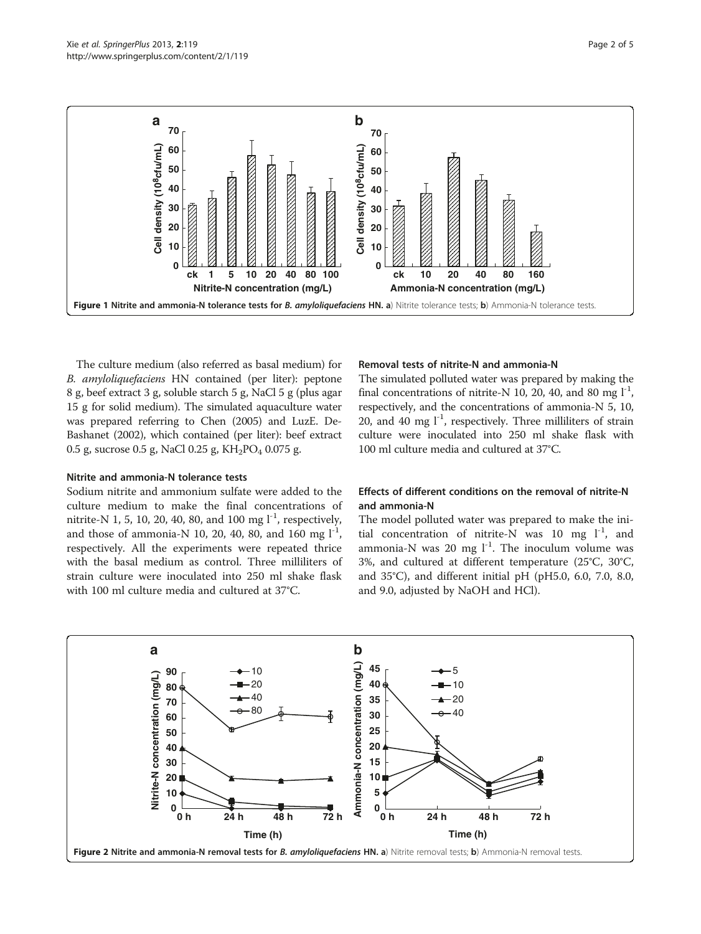<span id="page-1-0"></span>

The culture medium (also referred as basal medium) for B. amyloliquefaciens HN contained (per liter): peptone 8 g, beef extract 3 g, soluble starch 5 g, NaCl 5 g (plus agar 15 g for solid medium). The simulated aquaculture water was prepared referring to Chen [\(2005\)](#page-4-0) and LuzE. De-Bashanet ([2002\)](#page-4-0), which contained (per liter): beef extract 0.5 g, sucrose 0.5 g, NaCl 0.25 g, KH<sub>2</sub>PO<sub>4</sub> 0.075 g.

## Nitrite and ammonia-N tolerance tests

Sodium nitrite and ammonium sulfate were added to the culture medium to make the final concentrations of nitrite-N 1, 5, 10, 20, 40, 80, and 100 mg  $1^{-1}$ , respectively, and those of ammonia-N 10, 20, 40, 80, and 160 mg  $1^{-1}$ , respectively. All the experiments were repeated thrice with the basal medium as control. Three milliliters of strain culture were inoculated into 250 ml shake flask with 100 ml culture media and cultured at 37°C.

#### Removal tests of nitrite-N and ammonia-N

The simulated polluted water was prepared by making the final concentrations of nitrite-N 10, 20, 40, and 80 mg  $1^{-1}$ , respectively, and the concentrations of ammonia-N 5, 10, 20, and 40 mg  $1^{-1}$ , respectively. Three milliliters of strain culture were inoculated into 250 ml shake flask with 100 ml culture media and cultured at 37°C.

## Effects of different conditions on the removal of nitrite-N and ammonia-N

The model polluted water was prepared to make the initial concentration of nitrite-N was 10 mg  $l^{-1}$ , and ammonia-N was 20 mg  $l^{-1}$ . The inoculum volume was 3%, and cultured at different temperature (25°C, 30°C, and 35°C), and different initial pH (pH5.0, 6.0, 7.0, 8.0, and 9.0, adjusted by NaOH and HCl).

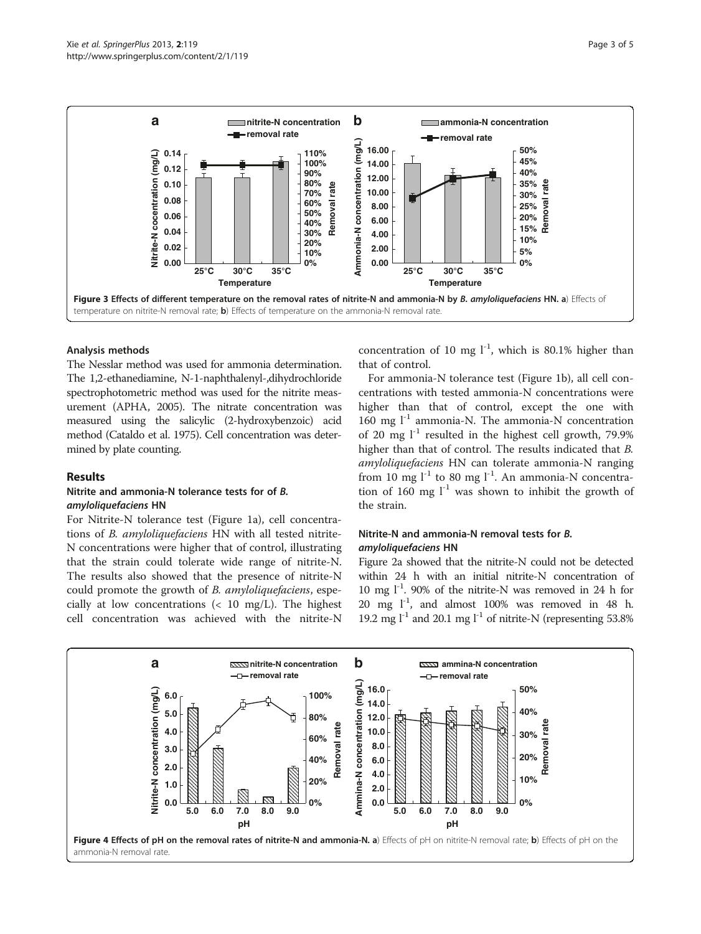<span id="page-2-0"></span>

### Analysis methods

The Nesslar method was used for ammonia determination. The 1,2-ethanediamine, N-1-naphthalenyl-,dihydrochloride spectrophotometric method was used for the nitrite measurement (APHA, [2005](#page-3-0)). The nitrate concentration was measured using the salicylic (2-hydroxybenzoic) acid method (Cataldo et al. [1975](#page-4-0)). Cell concentration was determined by plate counting.

#### Results

#### Nitrite and ammonia-N tolerance tests for of B. amyloliquefaciens HN

For Nitrite-N tolerance test (Figure [1a](#page-1-0)), cell concentrations of B. amyloliquefaciens HN with all tested nitrite-N concentrations were higher that of control, illustrating that the strain could tolerate wide range of nitrite-N. The results also showed that the presence of nitrite-N could promote the growth of B. amyloliquefaciens, especially at low concentrations  $\langle \langle 10 \rangle \rangle$  mg/L). The highest cell concentration was achieved with the nitrite-N concentration of 10 mg  $l^{-1}$ , which is 80.1% higher than that of control.

For ammonia-N tolerance test (Figure [1](#page-1-0)b), all cell concentrations with tested ammonia-N concentrations were higher than that of control, except the one with 160 mg  $l^{-1}$  ammonia-N. The ammonia-N concentration of 20 mg  $l^{-1}$  resulted in the highest cell growth, 79.9% higher than that of control. The results indicated that B. amyloliquefaciens HN can tolerate ammonia-N ranging from 10 mg  $I^{-1}$  to 80 mg  $I^{-1}$ . An ammonia-N concentration of 160 mg  $l^{-1}$  was shown to inhibit the growth of the strain.

## Nitrite-N and ammonia-N removal tests for B. amyloliquefaciens HN

Figure [2a](#page-1-0) showed that the nitrite-N could not be detected within 24 h with an initial nitrite-N concentration of 10 mg  $l^{-1}$ . 90% of the nitrite-N was removed in 24 h for 20 mg  $l^{-1}$ , and almost 100% was removed in 48 h. 19.2 mg  $l^{-1}$  and 20.1 mg  $l^{-1}$  of nitrite-N (representing 53.8%

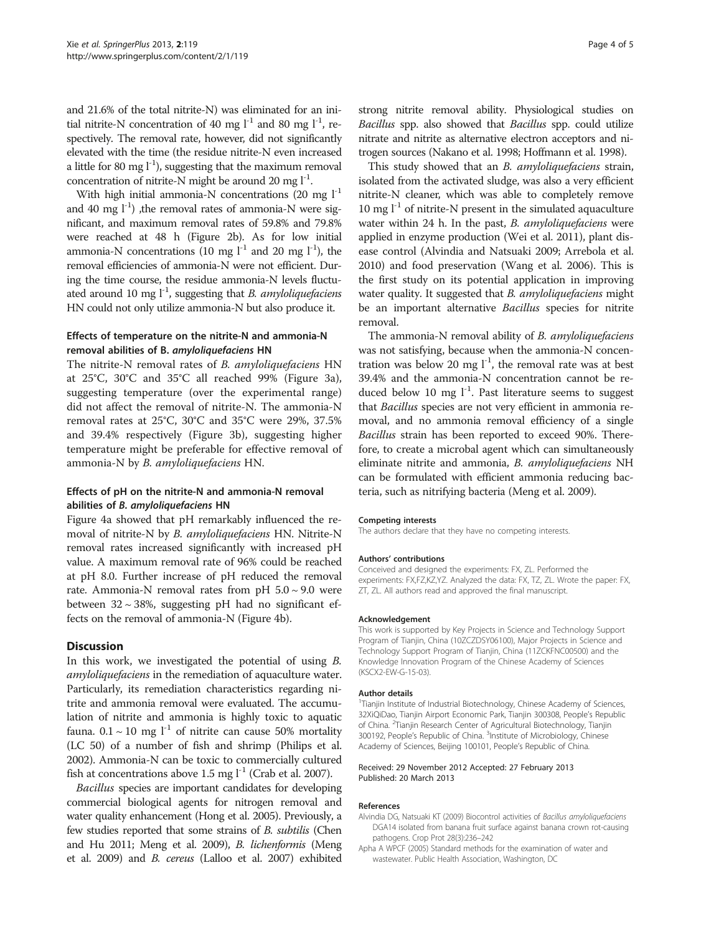<span id="page-3-0"></span>and 21.6% of the total nitrite-N) was eliminated for an initial nitrite-N concentration of 40 mg  $l^{-1}$  and 80 mg  $l^{-1}$ , respectively. The removal rate, however, did not significantly elevated with the time (the residue nitrite-N even increased a little for 80 mg  $1^{-1}$ ), suggesting that the maximum removal concentration of nitrite-N might be around 20 mg  $1^{-1}$ .

With high initial ammonia-N concentrations  $(20 \text{ mg } l^{-1})$ and 40 mg  $\left[1\right]$ , the removal rates of ammonia-N were significant, and maximum removal rates of 59.8% and 79.8% were reached at 48 h (Figure [2b](#page-1-0)). As for low initial ammonia-N concentrations (10 mg  $l^{-1}$  and 20 mg  $l^{-1}$ ), the removal efficiencies of ammonia-N were not efficient. During the time course, the residue ammonia-N levels fluctuated around 10 mg  $I^{-1}$ , suggesting that *B. amyloliquefaciens* HN could not only utilize ammonia-N but also produce it.

## Effects of temperature on the nitrite-N and ammonia-N removal abilities of B. amyloliquefaciens HN

The nitrite-N removal rates of B. amyloliquefaciens HN at 25°C, 30°C and 35°C all reached 99% (Figure [3a](#page-2-0)), suggesting temperature (over the experimental range) did not affect the removal of nitrite-N. The ammonia-N removal rates at 25°C, 30°C and 35°C were 29%, 37.5% and 39.4% respectively (Figure [3b](#page-2-0)), suggesting higher temperature might be preferable for effective removal of ammonia-N by B. amyloliquefaciens HN.

### Effects of pH on the nitrite-N and ammonia-N removal abilities of B. amyloliquefaciens HN

Figure [4a](#page-2-0) showed that pH remarkably influenced the removal of nitrite-N by B. amyloliquefaciens HN. Nitrite-N removal rates increased significantly with increased pH value. A maximum removal rate of 96% could be reached at pH 8.0. Further increase of pH reduced the removal rate. Ammonia-N removal rates from pH  $5.0 \sim 9.0$  were between  $32 \sim 38\%$ , suggesting pH had no significant effects on the removal of ammonia-N (Figure [4b](#page-2-0)).

#### **Discussion**

In this work, we investigated the potential of using B. amylolique faciens in the remediation of aquaculture water. Particularly, its remediation characteristics regarding nitrite and ammonia removal were evaluated. The accumulation of nitrite and ammonia is highly toxic to aquatic fauna.  $0.1 \sim 10$  mg l<sup>-1</sup> of nitrite can cause 50% mortality (LC 50) of a number of fish and shrimp (Philips et al. [2002\)](#page-4-0). Ammonia-N can be toxic to commercially cultured fish at concentrations above 1.5 mg  $l^{-1}$  (Crab et al. [2007\)](#page-4-0).

Bacillus species are important candidates for developing commercial biological agents for nitrogen removal and water quality enhancement (Hong et al. [2005\)](#page-4-0). Previously, a few studies reported that some strains of B. subtilis (Chen and Hu [2011](#page-4-0); Meng et al. [2009\)](#page-4-0), B. lichenformis (Meng et al. [2009](#page-4-0)) and B. cereus (Lalloo et al. [2007\)](#page-4-0) exhibited strong nitrite removal ability. Physiological studies on Bacillus spp. also showed that Bacillus spp. could utilize nitrate and nitrite as alternative electron acceptors and nitrogen sources (Nakano et al. [1998](#page-4-0); Hoffmann et al. [1998\)](#page-4-0).

This study showed that an *B. amyloliquefaciens* strain, isolated from the activated sludge, was also a very efficient nitrite-N cleaner, which was able to completely remove 10 mg  $l^{-1}$  of nitrite-N present in the simulated aquaculture water within 24 h. In the past, B. amyloliquefaciens were applied in enzyme production (Wei et al. [2011](#page-4-0)), plant disease control (Alvindia and Natsuaki 2009; Arrebola et al. [2010](#page-4-0)) and food preservation (Wang et al. [2006](#page-4-0)). This is the first study on its potential application in improving water quality. It suggested that B. amyloliquefaciens might be an important alternative *Bacillus* species for nitrite removal.

The ammonia-N removal ability of B. amyloliquefaciens was not satisfying, because when the ammonia-N concentration was below 20 mg  $l^{-1}$ , the removal rate was at best 39.4% and the ammonia-N concentration cannot be reduced below 10 mg  $l^{-1}$ . Past literature seems to suggest that Bacillus species are not very efficient in ammonia removal, and no ammonia removal efficiency of a single Bacillus strain has been reported to exceed 90%. Therefore, to create a microbal agent which can simultaneously eliminate nitrite and ammonia, B. amyloliquefaciens NH can be formulated with efficient ammonia reducing bacteria, such as nitrifying bacteria (Meng et al. [2009\)](#page-4-0).

#### Competing interests

The authors declare that they have no competing interests.

#### Authors' contributions

Conceived and designed the experiments: FX, ZL. Performed the experiments: FX,FZ,KZ,YZ. Analyzed the data: FX, TZ, ZL. Wrote the paper: FX, ZT, ZL. All authors read and approved the final manuscript.

#### Acknowledgement

This work is supported by Key Projects in Science and Technology Support Program of Tianjin, China (10ZCZDSY06100), Major Projects in Science and Technology Support Program of Tianjin, China (11ZCKFNC00500) and the Knowledge Innovation Program of the Chinese Academy of Sciences (KSCX2-EW-G-15-03).

#### Author details

<sup>1</sup>Tianjin Institute of Industrial Biotechnology, Chinese Academy of Sciences, 32XiQiDao, Tianjin Airport Economic Park, Tianjin 300308, People's Republic of China. <sup>2</sup> Tianjin Research Center of Agricultural Biotechnology, Tianjin 300192, People's Republic of China. <sup>3</sup>Institute of Microbiology, Chinese Academy of Sciences, Beijing 100101, People's Republic of China.

#### Received: 29 November 2012 Accepted: 27 February 2013 Published: 20 March 2013

#### References

- Alvindia DG, Natsuaki KT (2009) Biocontrol activities of Bacillus amyloliquefaciens DGA14 isolated from banana fruit surface against banana crown rot-causing pathogens. Crop Prot 28(3):236–242
- Apha A WPCF (2005) Standard methods for the examination of water and wastewater. Public Health Association, Washington, DC